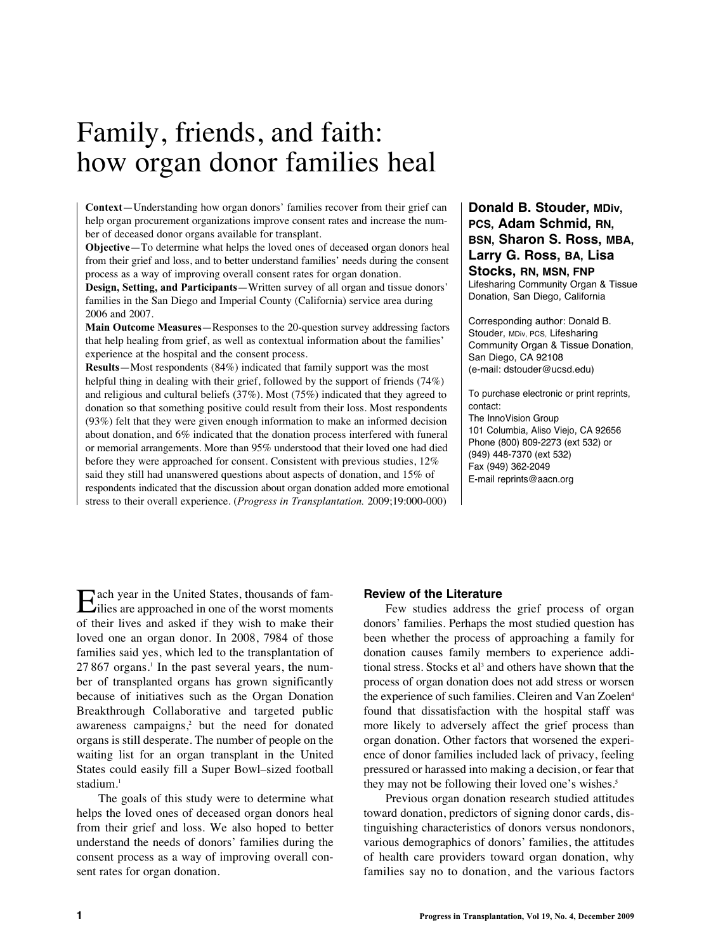# Family, friends, and faith: how organ donor families heal

**Context**—Understanding how organ donors' families recover from their grief can help organ procurement organizations improve consent rates and increase the number of deceased donor organs available for transplant.

**Objective**—To determine what helps the loved ones of deceased organ donors heal from their grief and loss, and to better understand families' needs during the consent process as a way of improving overall consent rates for organ donation.

**Design, Setting, and Participants**—Written survey of all organ and tissue donors' families in the San Diego and Imperial County (California) service area during 2006 and 2007.

**Main Outcome Measures**—Responses to the 20-question survey addressing factors that help healing from grief, as well as contextual information about the families' experience at the hospital and the consent process.

**Results**—Most respondents (84%) indicated that family support was the most helpful thing in dealing with their grief, followed by the support of friends (74%) and religious and cultural beliefs (37%). Most (75%) indicated that they agreed to donation so that something positive could result from their loss. Most respondents (93%) felt that they were given enough information to make an informed decision about donation, and 6% indicated that the donation process interfered with funeral or memorial arrangements. More than 95% understood that their loved one had died before they were approached for consent. Consistent with previous studies, 12% said they still had unanswered questions about aspects of donation, and 15% of respondents indicated that the discussion about organ donation added more emotional stress to their overall experience. (*Progress in Transplantation.* 2009;19:000-000)

## **Donald B. Stouder, MDiv, PCS, Adam Schmid, RN, BSN, Sharon S. Ross, MBA, Larry G. Ross, BA, Lisa Stocks, RN, MSN, FNP** Lifesharing Community Organ & Tissue Donation, San Diego, California

Corresponding author: Donald B. Stouder, MDiv, PCS, Lifesharing Community Organ & Tissue Donation, San Diego, CA 92108 (e-mail: dstouder@ucsd.edu)

To purchase electronic or print reprints, contact: The InnoVision Group 101 Columbia, Aliso Viejo, CA 92656 Phone (800) 809-2273 (ext 532) or (949) 448-7370 (ext 532) Fax (949) 362-2049 E-mail reprints@aacn.org

Each year in the United States, thousands of fam-ilies are approached in one of the worst moments of their lives and asked if they wish to make their loved one an organ donor. In 2008, 7984 of those families said yes, which led to the transplantation of 27 867 organs. <sup>1</sup> In the past several years, the number of transplanted organs has grown significantly because of initiatives such as the Organ Donation Breakthrough Collaborative and targeted public awareness campaigns, <sup>2</sup> but the need for donated organs is still desperate. The number of people on the waiting list for an organ transplant in the United States could easily fill a Super Bowl–sized football stadium. 1

The goals of this study were to determine what helps the loved ones of deceased organ donors heal from their grief and loss. We also hoped to better understand the needs of donors' families during the consent process as a way of improving overall consent rates for organ donation.

## **Review of the Literature**

Few studies address the grief process of organ donors' families. Perhaps the most studied question has been whether the process of approaching a family for donation causes family members to experience additional stress. Stocks et al <sup>3</sup> and others have shown that the process of organ donation does not add stress or worsen the experience of such families. Cleiren and Van Zoelen<sup>4</sup> found that dissatisfaction with the hospital staff was more likely to adversely affect the grief process than organ donation. Other factors that worsened the experience of donor families included lack of privacy, feeling pressured or harassed into making a decision, or fear that they may not be following their loved one's wishes. 5

Previous organ donation research studied attitudes toward donation, predictors of signing donor cards, distinguishing characteristics of donors versus nondonors, various demographics of donors' families, the attitudes of health care providers toward organ donation, why families say no to donation, and the various factors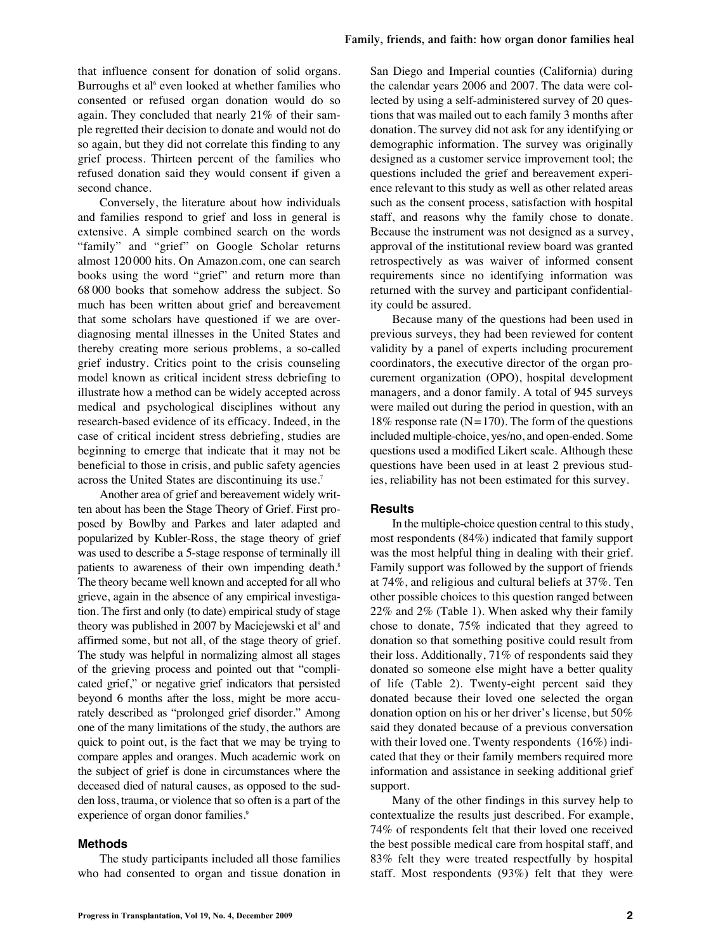that influence consent for donation of solid organs. Burroughs et al <sup>6</sup> even looked at whether families who consented or refused organ donation would do so again. They concluded that nearly 21% of their sample regretted their decision to donate and would not do so again, but they did not correlate this finding to any grief process. Thirteen percent of the families who refused donation said they would consent if given a second chance.

Conversely, the literature about how individuals and families respond to grief and loss in general is extensive. A simple combined search on the words "family" and "grief" on Google Scholar returns almost 120 000 hits. On Amazon.com, one can search books using the word "grief" and return more than 68 000 books that somehow address the subject. So much has been written about grief and bereavement that some scholars have questioned if we are overdiagnosing mental illnesses in the United States and thereby creating more serious problems, a so-called grief industry. Critics point to the crisis counseling model known as critical incident stress debriefing to illustrate how a method can be widely accepted across medical and psychological disciplines without any research-based evidence of its efficacy. Indeed, in the case of critical incident stress debriefing, studies are beginning to emerge that indicate that it may not be beneficial to those in crisis, and public safety agencies across the United States are discontinuing its use. 7

Another area of grief and bereavement widely written about has been the Stage Theory of Grief. First proposed by Bowlby and Parkes and later adapted and popularized by Kubler-Ross, the stage theory of grief was used to describe a 5-stage response of terminally ill patients to awareness of their own impending death.<sup>8</sup> The theory became well known and accepted for all who grieve, again in the absence of any empirical investigation. The first and only (to date) empirical study of stage theory was published in 2007 by Maciejewski et al<sup>9</sup> and affirmed some, but not all, of the stage theory of grief. The study was helpful in normalizing almost all stages of the grieving process and pointed out that "complicated grief," or negative grief indicators that persisted beyond 6 months after the loss, might be more accurately described as "prolonged grief disorder." Among one of the many limitations of the study, the authors are quick to point out, is the fact that we may be trying to compare apples and oranges. Much academic work on the subject of grief is done in circumstances where the deceased died of natural causes, as opposed to the sudden loss, trauma, or violence that so often is a part of the experience of organ donor families.<sup>9</sup>

#### **Methods**

The study participants included all those families who had consented to organ and tissue donation in San Diego and Imperial counties (California) during the calendar years 2006 and 2007. The data were collected by using a self-administered survey of 20 questions that was mailed out to each family 3 months after donation. The survey did not ask for any identifying or demographic information. The survey was originally designed as a customer service improvement tool; the questions included the grief and bereavement experience relevant to this study as well as other related areas such as the consent process, satisfaction with hospital staff, and reasons why the family chose to donate. Because the instrument was not designed as a survey, approval of the institutional review board was granted retrospectively as was waiver of informed consent requirements since no identifying information was returned with the survey and participant confidentiality could be assured.

Because many of the questions had been used in previous surveys, they had been reviewed for content validity by a panel of experts including procurement coordinators, the executive director of the organ procurement organization (OPO), hospital development managers, and a donor family. A total of 945 surveys were mailed out during the period in question, with an 18% response rate  $(N=170)$ . The form of the questions included multiple-choice, yes/no, and open-ended. Some questions used a modified Likert scale. Although these questions have been used in at least 2 previous studies, reliability has not been estimated for this survey.

#### **Results**

In the multiple-choice question central to this study, most respondents (84%) indicated that family support was the most helpful thing in dealing with their grief. Family support was followed by the support of friends at 74%, and religious and cultural beliefs at 37%. Ten other possible choices to this question ranged between 22% and 2% (Table 1). When asked why their family chose to donate, 75% indicated that they agreed to donation so that something positive could result from their loss. Additionally, 71% of respondents said they donated so someone else might have a better quality of life (Table 2). Twenty-eight percent said they donated because their loved one selected the organ donation option on his or her driver's license, but 50% said they donated because of a previous conversation with their loved one. Twenty respondents (16%) indicated that they or their family members required more information and assistance in seeking additional grief support.

Many of the other findings in this survey help to contextualize the results just described. For example, 74% of respondents felt that their loved one received the best possible medical care from hospital staff, and 83% felt they were treated respectfully by hospital staff. Most respondents (93%) felt that they were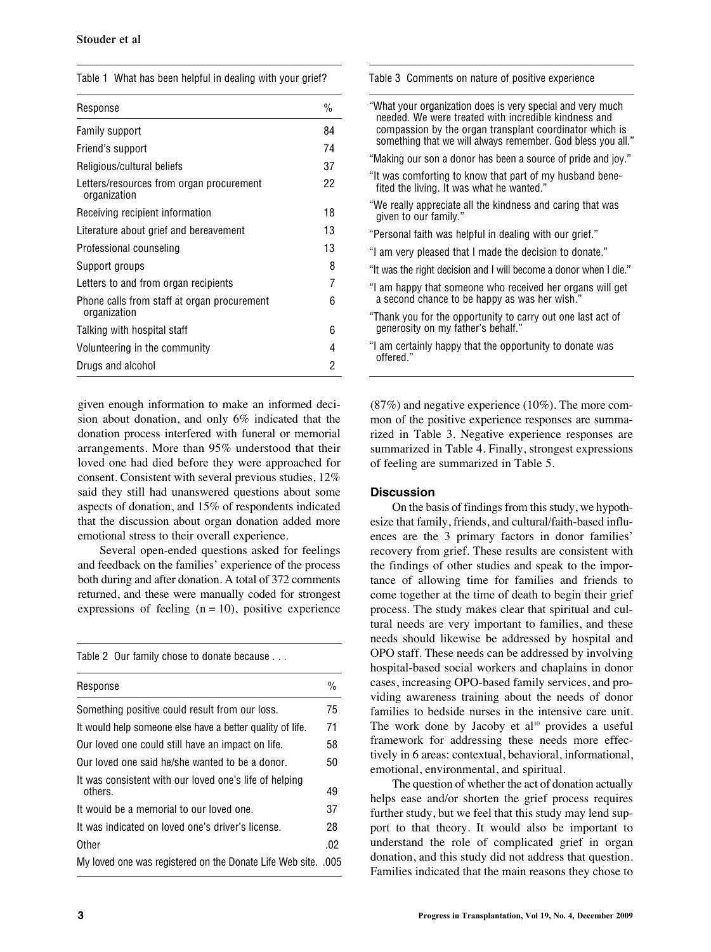|  | Table 1 What has been helpful in dealing with your grief? |  |  |  |  |  |  |  |
|--|-----------------------------------------------------------|--|--|--|--|--|--|--|
|--|-----------------------------------------------------------|--|--|--|--|--|--|--|

| Response                                                    | $\frac{0}{0}$ |
|-------------------------------------------------------------|---------------|
| Family support                                              | 84            |
| Friend's support                                            | 74            |
| Religious/cultural beliefs                                  | 37            |
| Letters/resources from organ procurement<br>organization    | 22            |
| Receiving recipient information                             | 18            |
| Literature about grief and bereavement                      | 13            |
| Professional counseling                                     | 13            |
| Support groups                                              | 8             |
| Letters to and from organ recipients                        | 7             |
| Phone calls from staff at organ procurement<br>organization | 6             |
| Talking with hospital staff                                 | 6             |
| Volunteering in the community                               | 4             |
| Drugs and alcohol                                           | 2             |

given enough information to make an informed decision about donation, and only 6% indicated that the donation process interfered with funeral or memorial arrangements. More than 95% understood that their loved one had died before they were approached for consent. Consistent with several previous studies, 12% said they still had unanswered questions about some aspects of donation, and 15% of respondents indicated that the discussion about organ donation added more emotional stress to their overall experience.

Several open-ended questions asked for feelings and feedback on the families' experience of the process both during and after donation. A total of 372 comments returned, and these were manually coded for strongest expressions of feeling  $(n = 10)$ , positive experience

Table 2 Our family chose to donate because . . .

| Response                                                          | $\frac{0}{0}$ |
|-------------------------------------------------------------------|---------------|
| Something positive could result from our loss.                    | 75            |
| It would help someone else have a better quality of life.         | 71            |
| Our loved one could still have an impact on life.                 | 58            |
| Our loved one said he/she wanted to be a donor.                   | 50            |
| It was consistent with our loved one's life of helping<br>others. | 49            |
| It would be a memorial to our loved one.                          | 37            |
| It was indicated on loved one's driver's license.                 | 28            |
| Other                                                             | .02           |
| My loved one was registered on the Donate Life Web site. .005     |               |

Table 3 Comments on nature of positive experience

| "What your organization does is very special and very much<br>needed. We were treated with incredible kindness and<br>compassion by the organ transplant coordinator which is<br>something that we will always remember. God bless you all." |
|----------------------------------------------------------------------------------------------------------------------------------------------------------------------------------------------------------------------------------------------|
| "Making our son a donor has been a source of pride and joy."                                                                                                                                                                                 |
| "It was comforting to know that part of my husband bene-<br>fited the living. It was what he wanted."                                                                                                                                        |
| "We really appreciate all the kindness and caring that was<br>given to our family."                                                                                                                                                          |
| "Personal faith was helpful in dealing with our grief."                                                                                                                                                                                      |
| "I am very pleased that I made the decision to donate."                                                                                                                                                                                      |
| "It was the right decision and I will become a donor when I die."                                                                                                                                                                            |
| "I am happy that someone who received her organs will get<br>a second chance to be happy as was her wish."                                                                                                                                   |
| "Thank you for the opportunity to carry out one last act of<br>generosity on my father's behalf."                                                                                                                                            |
| "I am certainly happy that the opportunity to donate was<br>offered."                                                                                                                                                                        |
|                                                                                                                                                                                                                                              |

(87%) and negative experience (10%). The more common of the positive experience responses are summarized in Table 3. Negative experience responses are summarized in Table 4. Finally, strongest expressions of feeling are summarized in Table 5.

### **Discussion**

On the basis of findings from this study, we hypothesize that family, friends, and cultural/faith-based influences are the 3 primary factors in donor families' recovery from grief. These results are consistent with the findings of other studies and speak to the importance of allowing time for families and friends to come together at the time of death to begin their grief process. The study makes clear that spiritual and cultural needs are very important to families, and these needs should likewise be addressed by hospital and OPO staff. These needs can be addressed by involving hospital-based social workers and chaplains in donor cases, increasing OPO-based family services, and providing awareness training about the needs of donor families to bedside nurses in the intensive care unit. The work done by Jacoby et al<sup>10</sup> provides a useful framework for addressing these needs more effectively in 6 areas: contextual, behavioral, informational, emotional, environmental, and spiritual.

The question of whether the act of donation actually helps ease and/or shorten the grief process requires further study, but we feel that this study may lend support to that theory. It would also be important to understand the role of complicated grief in organ donation, and this study did not address that question. Families indicated that the main reasons they chose to